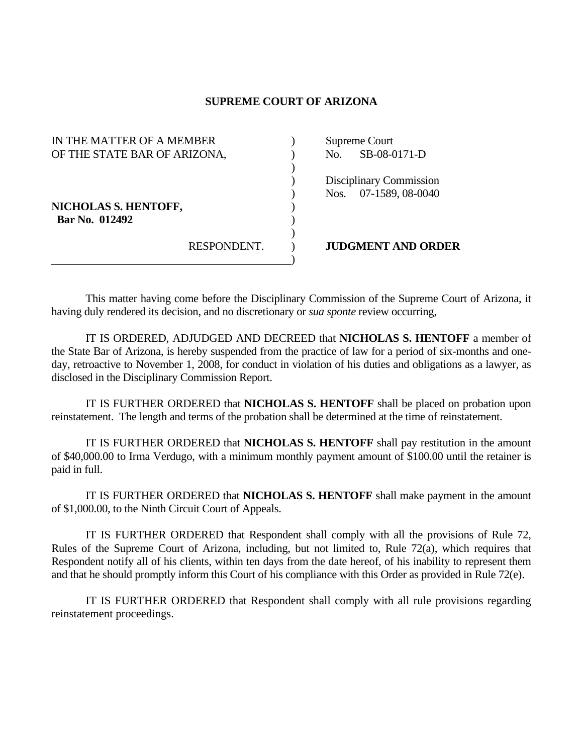## **SUPREME COURT OF ARIZONA**

| IN THE MATTER OF A MEMBER    |             |     | Supreme Court             |
|------------------------------|-------------|-----|---------------------------|
| OF THE STATE BAR OF ARIZONA, |             | No. | SB-08-0171-D              |
|                              |             |     |                           |
|                              |             |     | Disciplinary Commission   |
|                              |             |     | Nos. 07-1589, 08-0040     |
| NICHOLAS S. HENTOFF,         |             |     |                           |
| Bar No. 012492               |             |     |                           |
|                              |             |     |                           |
|                              | RESPONDENT. |     | <b>JUDGMENT AND ORDER</b> |
|                              |             |     |                           |

 This matter having come before the Disciplinary Commission of the Supreme Court of Arizona, it having duly rendered its decision, and no discretionary or *sua sponte* review occurring,

 IT IS ORDERED, ADJUDGED AND DECREED that **NICHOLAS S. HENTOFF** a member of the State Bar of Arizona, is hereby suspended from the practice of law for a period of six-months and oneday, retroactive to November 1, 2008, for conduct in violation of his duties and obligations as a lawyer, as disclosed in the Disciplinary Commission Report.

 IT IS FURTHER ORDERED that **NICHOLAS S. HENTOFF** shall be placed on probation upon reinstatement. The length and terms of the probation shall be determined at the time of reinstatement.

 IT IS FURTHER ORDERED that **NICHOLAS S. HENTOFF** shall pay restitution in the amount of \$40,000.00 to Irma Verdugo, with a minimum monthly payment amount of \$100.00 until the retainer is paid in full.

 IT IS FURTHER ORDERED that **NICHOLAS S. HENTOFF** shall make payment in the amount of \$1,000.00, to the Ninth Circuit Court of Appeals.

 IT IS FURTHER ORDERED that Respondent shall comply with all the provisions of Rule 72, Rules of the Supreme Court of Arizona, including, but not limited to, Rule 72(a), which requires that Respondent notify all of his clients, within ten days from the date hereof, of his inability to represent them and that he should promptly inform this Court of his compliance with this Order as provided in Rule 72(e).

 IT IS FURTHER ORDERED that Respondent shall comply with all rule provisions regarding reinstatement proceedings.